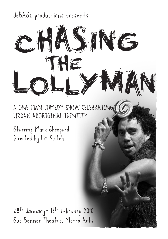### deBASE productions presents



A ONE MAN COMEDY SHOW CELEBRATING URBAN ABORIGINAL IDENTITY

Starring Mark Sheppard Directed by Liz Skitch

28<sup>th</sup> January - 13<sup>th</sup> February 2010 Sue Benner Theatre, Metro Arts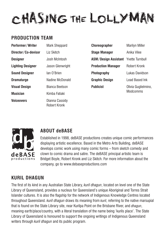## CHASING THE LOLLYMA

#### **Production Team**

| Performer/Writer    | <b>Mark Sheppard</b>           |
|---------------------|--------------------------------|
| Director/Co-devisor | Liz Skitch                     |
| Designer            | Josh McIntosh                  |
| Lighting Designer   | Jason Glenwright               |
| Sound Designer      | lan O'Brien                    |
| Dramaturge          | Nadine McDonald                |
| Visual Design       | <b>Bianca Beetson</b>          |
| Musician            | Kimba Fatiaki                  |
| Voiceovers          | Dianna Cassidy<br>Robert Kronk |

| <b>Choreographer</b>                        | <b>Marilyn Miller</b>           |
|---------------------------------------------|---------------------------------|
| Stage Manager                               | Anika Vilee                     |
| <b>ASM/Design Assistant</b> Yvette Turnbull |                                 |
| <b>Production Manager</b>                   | Robert Kronk                    |
| Photography                                 | Lukas Davidson                  |
| Graphic Design                              | Lead Based Ink                  |
| Publicist                                   | Olivia Guglielmino,<br>Modcomms |



#### **About deBASE**

Established in 1998, deBASE productions creates unique comic performances displaying artistic excellence. Based in the Metro Arts Building, deBASE develops comic work using many comic forms – from sketch comedy and clown to comic drama and satire. The deBASE principal artistic team is Bridget Boyle, Robert Kronk and Liz Skitch. For more information about the company, go to www.debaseproductions.com

#### **kuril dhagun**

The first of its kind in any Australian State Library, *kuril dhagun*, located on level one of the State Library of Queensland, provides a nucleus for Queensland's unique Aboriginal and Torres Strait Islander cultures. It is also the flagship for the network of Indigenous Knowledge Centres located throughout Queensland. *kuril dhagun* draws its meaning from *kuril*, referring to the native marsupial that is found on the State Library site, near Kurilpa Point on the Brisbane River, and *dhagun*, meaning earth/place/country, with a literal translation of the name being 'kurils place'. The State Library of Queensland is honoured to support the ongoing writings of Indigenous Queensland writers through *kuril dhagun* and its public program.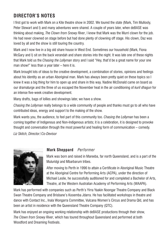#### **Director's Notes**

I first got to work with Mark on a Kite theatre show in 2002. We toured the state (Mark, Tim Mullooly, Peter Stewart and I) and many adventures were shared. A couple of years later, when deBASE was thinking about making, *The Clown from Snowy River*, I knew that Mark was the Murri clown for the job. He had never clowned on stage before but had done plenty of clowning off stage. His clown, Daz was loved by all and the show is still touring the country.

Mark and I now live in a big old share house in West End. Sometimes our household (Mark, Fiona McGary and I) sit on the back verandah and share stories into the night. It was late one of these nights that Mark told us the *Chasing the Lollyman* story and I said "Hey, that'd be a great name for your one man show!" less than a year later – here it is.

Mark brought lots of ideas to the creative development, a combination of stories, opinions and feelings about his identity as an urban Aboriginal man. Mark has always been pretty quiet on these topics so I knew it was a big thing for him to open up and share in this way. Nadine McDonald came on board as our dramaturge and the three of us escaped the November heat in the air conditioning of *kuril dhagun* for an intense five-week creative development.

Many drafts, bags of lollies and showings later, we have a show.

*Chasing the Lollyman* really belongs to a wide community of people and thanks must go to all who have contributed ideas, energy and support to the making of the show.

Mark wants you, the audience, to feel part of this community too. *Chasing the Lollyman* has been a coming together of Indigenous and Non-Indigenous artists; it is a celebration, it is designed to provoke thought and conversation through the most powerful and healing form of communication – comedy.

*Liz Skitch, Director/Co-Devisor*



#### **Mark Sheppard** *Performer*

Mark was born and raised in Mareeba, far north Queensland, and is a part of the Muluridgi and Mbarbarum tribes.

After moving to Perth in 1996 to attain a Certificate in Aboriginal Music Theatre at the Aboriginal Centre for Performing Arts (ACPA), under the direction of Michael Leslie, he successfully auditioned for and completed a Bachelor of Arts, Theatre, at the Western Australian Academy of Performing Arts (WAAPA).

Mark has performed with companies such as Perth's Yirra Yaakin Noongar Theatre Company and Black Swan Theatre Company and Brisbane's Kooemba Jdarra. He has facilitated workshops in theatre and dance with Contact Inc., Inala Wongarra Committee, Vulcana Women's Circus and Drama Qld, and has been an artist in residence with the Queensland Theatre Company (QTC).

Mark has enjoyed an ongoing working relationship with deBASE productions through their show, *The Clown from Snowy River*, which has toured throughout Queensland and performed at both Woodford and Dreaming Festivals.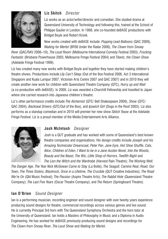

#### **Liz Skitch** *Director*

Liz works as an actor/writer/director and comedian. She studied drama at Queensland University of Technology and following this, trained at the School of Philippe Gaulier in London. In 1998, she co-founded deBASE productions with Bridget Boyle and Robert Kronk.

New works created with deBASE include: *Popping Lead Balloons* (QAC 2009), *Waiting for Merlot* (BF08 Under the Radar 2008), *The Clown from Snowy* 

*River* (QAC/RAV 2006–10), *The Loud Room* (Melbourne International Comedy Festival 2003), *Frocking Fantastic* (Brisbane Powerhouse 2003, Melbourne Fringe Festival 2004) and *Titanic, the Clown Show* (Adelaide Fringe Festival 1999).

Liz has created many new works with Bridget Boyle and together they have started making children's theatre shows. Productions include *Lily Can't Sleep* (Out of the Box Festival 2006, Act 3 International Singapore and Kuala Lumpur 2007, Victorian Arts Centre 2007 and QAC 2007) and in 2010 they will create another new work for children with Queensland Theatre Company (QTC), *Hurry up and Wait* (a co-production with deBASE). In 2009, Liz was awarded a Churchill Fellowship and travelled to Japan where she carried research into Japanese children's theatre.

Liz's other performance credits include *The Alchemist* (QTC/ Bell Shakespeare 2009), *Show* (QTC/ QAC 2004), *Backseat Drivers* (QTC/Out of the Box), and *Ipswich Girl* (Dogs in the Roof 2003). Liz also performs as a standup comedian and in 2010 will premier her new show *Skitch Tease* at the Adelaide Fringe Festival. Liz is a proud member of the Media Entertainment Arts Alliance.



#### **Josh McIntosh** *Designer*

Josh is a QUT graduate and has worked with some of Queensland's best known theatre companies and organisations. His design credits include *Joseph and his Amazing Technicolor Dreamcoat*, *Peter Pan*, *Jane Eyre*, *Hot Shoe Shuffle*, *Cats*, *Alice*, *Children of Eden*, *I Want to be in a Jane Austen Novel*, *Into the Woods*, *Beauty and the Beast*, *The Wiz*, *Little Shop of Horrors*, *Twelfth Night* and *The Lion the Witch and the Wardrobe* (Harvest Rain Theatre); *The Wishing Well*,

*The Danger Age*, *The Year Nick McGowan Came to Stay* (La Boite); *The Seagull*, *Camino Real*, *Road*, *Our Town*, *The Three Sisters*, *Blackrock*, *Once in a Lifetime*, *The Crucible* (QUT Creative Industries); *The Road We're On* (Qld Music Festival); *The Passion* (Aspire Theatre Arts); *The Rabbit Hole* (Queensland Theatre Company); *The Last Five Years* (Oscar Theatre Company); and *The Return* (Springboard Theatre).

#### **Ian O'Brien** *Sound Designer*

Ian is a performing musician, recording engineer and sound designer with over twenty years experience producing sound designs for theatre, commercial recordings across various genres and live sound. He is currently Principal 3rd horn with The Queensland Symphony Orchestra and the horn tutor at the University of Queensland. Ian holds a Masters of Philosophy in Music and a Diploma in Audio Engineering. He has worked for debase previously producing sound designs and recordings for *The Clown from Snowy River*, *The Loud Show* and *Waiting for Merlot*.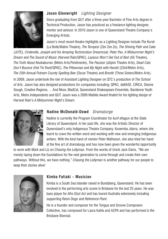

#### **Jason Glenwright** *Lighting Designer*

Since graduating from QUT after a three-year Bachelor of Fine Arts degree in Technical Production, Jason has practiced as a freelance lighting designer, mentor and advisor. In 2010 Jason is one of Queensland Theatre Company's Emerging Artists.

Jason's most recent theatre highlights as a Lighting Designer include *The Kursk*  (La Boite/Matrix Theatre), *The Tempest* (Zen Zen Zo), *The Shining Path* and *Cake*

(JUTE), *Cinderella*, *Joseph and his Amazing Technicolour Dreamcoat*, *Peter Pan*, *A Midsummer Night's Dream* and *The Sound of Music* (Harvest Rain/QPAC), *Lazarus Won't Get Out of Bed* (AS Theatre), *The Truth About Kookaburras* (Metro Arts/Pentimento), *The Passion* (aSpire Theatre Arts), *Dead Cats Don't Bounce* (Hot Tin Roof/QPAC), *The Pillowman* and *My Night with Harold* (23rd/Metro Arts), *The 25th Annual Putnam County Spelling Bee* (Oscar Theatre) and *Brontë* (Three Sisters/Metro Arts).

In 2009, Jason undertook the role of Assistant Lighting Designer on QTC's production of *The School of Arts*. Jason has also designed productions for companies including; QPAC, deBASE, CIRCA, Dianne Gough, Creative Regions, …And Moor, MadCat, Queensland Shakespeare Ensemble, Backbone Youth Arts, Metro Independents and QUT. Jason was a 2009 Matilda Award finalist for his lighting design of Harvest Rain's *A Midsummer Night's Dream*.



#### **Nadine McDonald-Dowd** *Dramaturge*

Nadine is currently the Program Coordinator for *kuril dhagun* at the State Library of Queensland. In her past life, she was the Artistic Director of Queensland's only Indigenous Theatre Company, Kooemba Jdarra, where she learnt to crave the written word and working with new and emerging Indigenous writers. With the kind hand of mentor Peter Matheson, she also tried her hand at the fine art of dramaturgy and has now been given the wonderful opportunity

to work with Mark and Liz on *Chasing the Lollyman*. From the words of Uncle Jack Davis, "We are merely laying down the foundations for the next generation to come through and create their own pathways. Without this, we have nothing." *Chasing the Lollyman* is another pathway for our people to keep their stories alive!



#### **Kimba Fatiaki – Musician**

Kimba is a South Sea Islander raised in Bundaberg, Queensland. He has been involved in the performing arts scene in Brisbane for the last 25 years. He was bass player for *Afro Dizzi Act* and has toured Australia extensively including supporting *Resin Dogs* and *Reference Point*.

He is a founder and composer for the Tongue and Groove Composers Collective, has composed for Laura Kahle and ACPA and has performed in the Brisbane Biennial.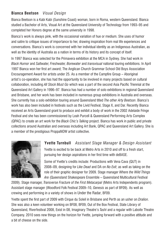#### **Bianca Beetson** *Visual Design*

Bianca Beetson is a Kabi Kabi (Sunshine Coast) woman, born in Roma, western Queensland. Bianca studied a Bachelor of Arts, Visual Art at the Queensland University of Technology from 1993–95 and completed her Honors degree at the same university in 1998.

Bianca's work is always pink, with the occasional variation of hue or medium. She uses of humor and satire to critique issues of importance to her, drawing inspiration from real life experiences and conversations. Bianca's work is concerned with her individual identity as an Indigenous Australian, as well as the identity of Australia as a nation in terms of its history and its concept of itself.

In 1997 Bianca was selected for the Primavera exhibition at the MCA in Sydney. She had work in *Black Humor* and *Saltwater, Freshwater, Borewater* and *transvisual* national touring exhibitions. In April 1997 Bianca won her first art award; The Anglican Church Grammar School Old Boys Association Encouragement Award for artists under 25. As a member of the Campfire Group – Aboriginal artist's co-operation, she has had the opportunity to be involved in many projects based on cultural collaboration, including *All Stock Must Go* which was a part of the second Asia Pacific Triennial at the Queensland Art Gallery in 1996–97. Bianca has had a number of solo exhibitions in regional Queensland and Brisbane, and her work has been included in numerous group exhibitions in Australia and overseas. She currently has a solo exhibition touring around Queensland titled *The other Arty Beetson*. Bianca's work has also been included in festivals such as the Livid Festival, Stage X, and Dar. Recently Bianca received an Arts Queensland grant to produce and exhibit a body of work in the 2002 Adelaide Fringe Festival and she has been commissioned by Leah Purcell & Queensland Performing Arts Complex (QPAC) to create an art work for the *Black Chic's Talking* project. Bianca has work in public and private collections around Australian and overseas including Art Bank, QPAC and Queensland Art Gallery. She is a member of the prestigious ProppaNOW artist collective.



**Yvette Turnbull** *Assistant Stage Manager & Design Assistant* Yvette is excited to be back at Metro Arts in 2010 and off to a fresh start, pursuing her design aspirations in her first time with deBASE.

Some of Yvette's credits include: Productions with Vena Cava (QUT) in 2008–09, designing for *Like Dead* and DA on *No Exit*; as well as taking on the role of their graphic designer for 2009. Stage manager *Where the Wild Things Are* (Queensland Shakespeare Ensemble – Queensland Multicultural Festival

2009). Stage manager, *Transverse Fracture of the First Metacarpal* (Metro Arts Independents program). Assistant stage manager (Woodford Folk Festival 2009–10, *Genesis* as part of BF09). As well as crewing and performing in a variety of shows in Under the Radar, BF09.

Yvette spent the first part of 2009 with Cirque du Soleil in Brisbane and Perth as an usher on *Dralion*. She was also a keen volunteer working on BF08, BF09, Out of the Box Festival, State Library of Queensland, Riverfestival 2008, Exist in 08, Imaginary Theatre's *Tashi* and a regular with Laboite Theatre Company. 2010 sees new things on the horizon for Yvette, jumping forward with a positive attitude and a bit of cheese on the side.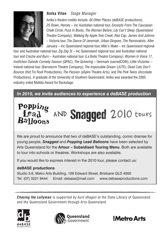

#### **Anika Vilee** *Stage Manager*

Anika's theatre credits include: All Other Places (deBASE productions); *25 Down*, *Heroes* – inc Australian national tour, *Excerpts From The Caucasian Chalk Circle*, *Puss In Boots*, *The Woman Before*, *Lily Can't Sleep* (Queensland Theatre Company); *Walking By Apple Tree Creek*, *Red Cap*, *James And Johnno* – Victoria tour, *The Dance Of Jeremiah*, *Urban Dingoes*, *The Removalists*, *After January* – inc Queensland regional tour, *Milo's Wake* – inc Queensland regional

tour and Australian national tour, *Zig Zag St* – inc Queensland regional tour and Australian national tour and *Creche and Burn* – Australian national tour (La Boite Theatre Company); *Women In Voice 17*, *Institches Outside Comedy Season* (QPAC); *The Quivering* – Denmark (sacredCOW); *Little Victories* – Ireland national tour (Barnstorm Theatre Company); *The Impossible Dream* (JUTE); *Dead Cats Don't Bounce* (Hot Tin Roof Productions); *The Passion* (aSpire Theatre Arts); and *The Pink Twins* (Accolade Productions). A graduate of the University of Southern Queensland, Anika was awarded the 2005 industry voted Matilda Award for Backstage.

*In 2010, we invite audiences to experience a deBASE production* 

# Popping<br>Lead AND Snagged 2010 tours

We are proud to announce that two of deBASE's outstanding, comic dramas for young people, *Snagged* and *Popping Lead Balloons* have been selected by Arts Queensland for the **Artour – Subsidised Touring Menu**. Both are available to tour into schools or theatres. Workshops are also available.

If you would like to express interest in the 2010 tour, please contact us:

#### **deBASE productions**

Studio 3.6, Metro Arts Building, 109 Edward Street, Brisbane QLD 4000 Tel: (07) 3221 9444 Email: debase@mail.com www.debaseproductions.com

*Chasing the Lollyman* is supported by *kuril dhagun* at the State Library of Queensland and the Queensland Government through Arts Queensland.